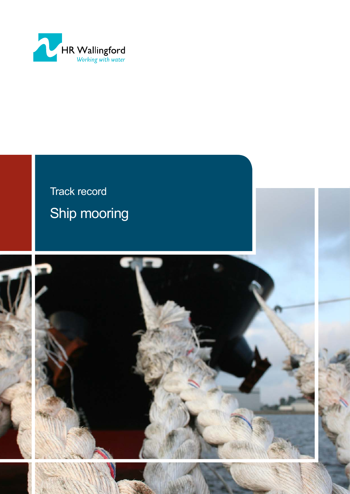

# Track record Ship mooring

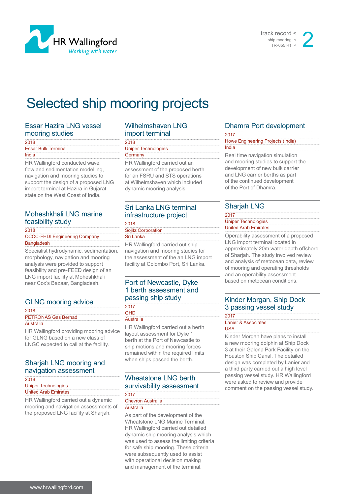



# Selected ship mooring projects

#### Essar Hazira LNG vessel mooring studies

| 2018                       |  |
|----------------------------|--|
| <b>Essar Bulk Terminal</b> |  |
| India                      |  |

HR Wallingford conducted wave, flow and sedimentation modelling, navigation and mooring studies to support the design of a proposed LNG import terminal at Hazira in Gujarat state on the West Coast of India.

#### Moheshkhali LNG marine feasibility study

2018

CCCC-FHDI Engineering Company **Bangladesh** 

Specialist hydrodynamic, sedimentation, morphology, navigation and mooring analysis were provided to support feasibility and pre-FEED design of an LNG import facility at Moheshkhali near Cox's Bazaar, Bangladesh.

# GLNG mooring advice

2018 PETRONAS Gas Berhad

**Australia** 

HR Wallingford providing mooring advice for GLNG based on a new class of LNGC expected to call at the facility.

# Sharjah LNG mooring and navigation assessment

| 2018                        |  |
|-----------------------------|--|
| <b>Uniper Technologies</b>  |  |
| <b>United Arab Emirates</b> |  |

HR Wallingford carried out a dynamic mooring and navigation assessments of the proposed LNG facility at Sharjah.

#### Wilhelmshaven LNG import terminal

#### 2018 Uniper Technologies **Germany**

HR Wallingford carried out an assessment of the proposed berth for an FSRU and STS operations at Wilhelmshaven which included dynamic mooring analysis.

#### Sri Lanka LNG terminal infrastructure project 2018

Sojitz Corporation Sri Lanka

HR Wallingford carried out ship navigation and mooring studies for the assessment of the an LNG import facility at Colombo Port, Sri Lanka.

# Port of Newcastle, Dyke 1 berth assessment and passing ship study

| 2017                               |
|------------------------------------|
| <b>GHD</b>                         |
| Australia                          |
| HR Wallingford carried out a berth |
| Javout assessment for Dyke 1       |

lssessment for Dyke berth at the Port of Newcastle to ship motions and mooring forces remained within the required limits when ships passed the berth.

# Wheatstone LNG berth survivability assessment

| 2017                     |  |
|--------------------------|--|
| <b>Chevron Australia</b> |  |
| Australia                |  |

As part of the development of the Wheatstone LNG Marine Terminal, HR Wallingford carried out detailed dynamic ship mooring analysis which was used to assess the limiting criteria for safe ship mooring. These criteria were subsequently used to assist with operational decision making and management of the terminal.

# Dhamra Port development

#### 2017 Howe Engineering Projects (India) India Real time navigation simulation and mooring studies to support the

development of new bulk carrier and LNG carrier berths as part of the continued development of the Port of Dhamra.

# Sharjah LNG

#### 2017 Uniper Technologies United Arab Emirates Operability assessment of a proposed

LNG import terminal located in approximately 20m water depth offshore of Sharjah. The study involved review and analysis of metocean data, review of mooring and operating thresholds and an operability assessment based on metocean conditions.

# Kinder Morgan, Ship Dock 3 passing vessel study

|      | Lanier & Associates |
|------|---------------------|
| IS A |                     |

Kinder Morgan have plans to install a new mooring dolphin at Ship Dock 3 at their Galena Park Facility on the Houston Ship Canal. The detailed design was completed by Lanier and a third party carried out a high level passing vessel study. HR Wallingford were asked to review and provide comment on the passing vessel study.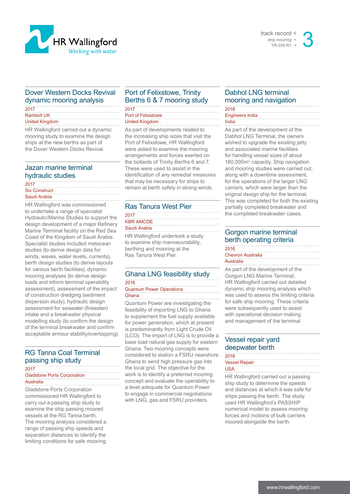

#### track record < ship mooring < TR-055 R1  $\frac{2}{3}$

## Dover Western Docks Revival dynamic mooring analysis

2017 Ramboll UK United Kingdom

HR Wallingford carried out a dynamic mooring study to examine the design ships at the new berths as part of the Dover Western Docks Revival.

#### Jazan marine terminal hydraulic studies

| 2017                 |  |
|----------------------|--|
| <b>Six Construct</b> |  |
| Saudi Arabia         |  |

HR Wallingford was commissioned to undertake a range of specialist Hydraulic/Marine Studies to support the design development of a major Refinery Marine Terminal facility on the Red Sea Coast of the Kingdom of Saudi Arabia. Specialist studies included metocean studies (to derive design data for winds, waves, water levels, currents), berth design studies (to derive layouts for various berth facilities), dynamic mooring analyses (to derive design loads and inform terminal operability assessment), assessment of the impact of construction dredging (sediment dispersion study), hydraulic design assessment for seawater (firewater) intake and a breakwater physical modelling study (to confirm the design of the terminal breakwater and confirm acceptable armour stability/overtopping).

# RG Tanna Coal Terminal passing ship study

## 2017

Gladstone Ports Corporation **Australia** 

Gladstone Ports Corporation commissioned HR Wallingford to carry out a passing ship study to examine the ship passing moored vessels at the RG Tanna berth. The mooring analysis considered a range of passing ship speeds and separation distances to identify the limiting conditions for safe mooring.

## Port of Felixstowe, Trinity Berths 6 & 7 mooring study

2017 Port of Felixstowe

United Kingdom

As part of developments related to the increasing ship sizes that visit the Port of Felixstowe, HR Wallingford were asked to examine the mooring arrangements and forces exerted on the bollards of Trinity Berths 6 and 7. These were used to assist in the identification of any remedial measures that may be necessary for ships to remain at berth safely in strong winds.

## Ras Tanura West Pier

2017 KBR AMCDE

Saudi Arabia

HR Wallingford undertook a study to examine ship manoeuvrability, berthing and mooring at the Ras Tanura West Pier.

#### Ghana LNG feasibility study

2016 Quantum Power Operations **Ghana** 

Quantum Power are investigating the feasibility of importing LNG to Ghana to supplement the fuel supply available for power generation, which at present is predominantly from Light Crude Oil (LCO). The import of LNG is to provide a base load natural gas supply for eastern Ghana. Two mooring concepts were considered to station a FSRU nearshore Ghana to send high pressure gas into the local grid. The objective for the work is to identify a preferred mooring concept and evaluate the operability to a level adequate for Quantum Power to engage in commercial negotiations with LNG, gas and FSRU providers.

## Dabhol LNG terminal mooring and navigation

| 2016                   |  |
|------------------------|--|
| <b>Engineers India</b> |  |
| India                  |  |

As part of the development of the Dabhol LNG Terminal, the owners wished to upgrade the existing jetty and associated marine facilities for handling vessel sizes of about 180,000m3 capacity. Ship navigation and mooring studies were carried out, along with a downtime assessment, for the operations of the larger LNG carriers, which were larger than the original design ship for the terminal. This was completed for both the existing partially completed breakwater and the completed breakwater cases.

## Gorgon marine terminal berth operating criteria

| 2016                     |  |
|--------------------------|--|
| <b>Chevron Australia</b> |  |
| Australia                |  |

As part of the development of the Gorgon LNG Marine Terminal, HR Wallingford carried out detailed dynamic ship mooring analysis which was used to assess the limiting criteria for safe ship mooring. These criteria were subsequently used to assist with operational decision making and management of the terminal.

## Vessel repair yard deepwater berth

| 2016                 |  |  |
|----------------------|--|--|
| <b>Vessel Repair</b> |  |  |
| <b>USA</b>           |  |  |
|                      |  |  |

HR Wallingford carried out a passing ship study to determine the speeds and distances at which it was safe for ships passing the berth. The study used HR Wallingford's PASSHIP numerical model to assess mooring forces and motions of bulk carriers moored alongside the berth.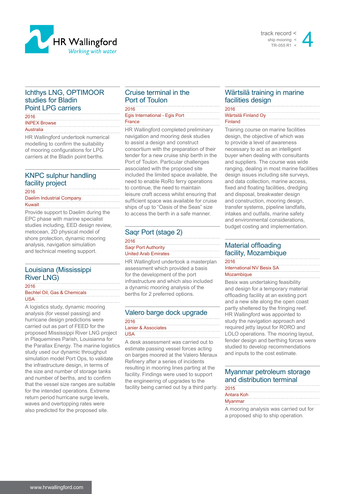



#### Ichthys LNG, OPTIMOOR studies for Bladin Point LPG carriers

#### 2016 INPEX Browse Australia

HR Wallingford undertook numerical modelling to confirm the suitability of mooring configurations for LPG carriers at the Bladin point berths.

### KNPC sulphur handling facility project

2016

Daelim Industrial Company Kuwait

Provide support to Daelim during the EPC phase with marine specialist studies including, EED design review, metocean, 2D physical model of shore protection, dynamic mooring analysis, navigation simulation and technical meeting support.

## Louisiana (Mississippi River LNG)

2016 Bechtel Oil, Gas & Chemicals USA

A logistics study, dynamic mooring analysis (for vessel passing) and hurricane design predictions were carried out as part of FEED for the proposed Mississippi River LNG project in Plaquemines Parish, Louisianna for the Parallax Energy. The marine logistics study used our dynamic throughput simulation model Port Ops, to validate the infrastructure design, in terms of the size and number of storage tanks and number of berths, and to confirm that the vessel size ranges are suitable for the intended operations. Extreme return period hurricane surge levels, waves and overtopping rates were also predicted for the proposed site.

## Cruise terminal in the Port of Toulon

2016 Egis International - Egis Port

France

HR Wallingford completed preliminary navigation and mooring desk studies to assist a design and construct consortium with the preparation of their tender for a new cruise ship berth in the Port of Toulon. Particular challenges associated with the proposed site included the limited space available, the need to enable RoRo ferry operations to continue, the need to maintain leisure craft access whilst ensuring that sufficient space was available for cruise ships of up to "Oasis of the Seas" size to access the berth in a safe manner.

# Saqr Port (stage 2)

| 2016                        |  |
|-----------------------------|--|
| <b>Sagr Port Authority</b>  |  |
| <b>United Arab Emirates</b> |  |

HR Wallingford undertook a masterplan assessment which provided a basis for the development of the port infrastructure and which also included a dynamic mooring analysis of the berths for 2 preferred options.

| Valero barge dock upgrade |
|---------------------------|
| 2016                      |
| Lanier & Associates       |
| <b>USA</b>                |

A desk assessment was carried out to estimate passing vessel forces acting on barges moored at the Valero Meraux Refinery after a series of incidents resulting in mooring lines parting at the facility. Findings were used to support the engineering of upgrades to the facility being carried out by a third party.

## Wärtsilä training in marine facilities design

2016 Wärtsilä Finland Oy Finland

Training course on marine facilities design, the objective of which was to provide a level of awareness necessary to act as an intelligent buyer when dealing with consultants and suppliers. The course was wide ranging, dealing in most marine facilities design issues including site surveys, and data collection, marine access, fixed and floating facilities, dredging and disposal, breakwater design and construction, mooring design, transfer systems, pipeline landfalls, intakes and outfalls, marine safety and environmental considerations, budget costing and implementation.

# Material offloading facility, Mozambique

2016 International NV Besix SA Mozambique

Besix was undertaking feasibility and design for a temporary material offloading facility at an existing port and a new site along the open coast partly sheltered by the fringing reef. HR Wallingford was appointed to study the navigation approach and required jetty layout for RORO and LOLO operations. The mooring layout, fender design and berthing forces were studied to develop recommendations and inputs to the cost estimate.

# Myanmar petroleum storage and distribution terminal

| 2015                                   |
|----------------------------------------|
| Antara Koh                             |
| Myanmar                                |
| A mooring angluois was serried out for |

A mooring analysis was carried out for a proposed ship to ship operation.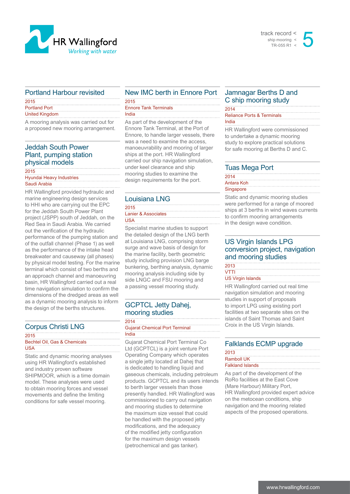



#### Portland Harbour revisited

| 2015                  |  |
|-----------------------|--|
| <b>Portland Port</b>  |  |
| <b>United Kingdom</b> |  |

A mooring analysis was carried out for a proposed new mooring arrangement.

# Jeddah South Power Plant, pumping station physical models

#### 2015

Hyundai Heavy Industries Saudi Arabia

HR Wallingford provided hydraulic and marine engineering design services to HHI who are carrying out the EPC for the Jeddah South Power Plant project (JSPP) south of Jeddah, on the Red Sea in Saudi Arabia. We carried out the verification of the hydraulic performance of the pumping station and of the outfall channel (Phase 1) as well as the performance of the intake head breakwater and causeway (all phases) by physical model testing. For the marine terminal which consist of two berths and an approach channel and manoeuvring basin, HR Wallingford carried out a real time navigation simulation to confirm the dimensions of the dredged areas as well as a dynamic mooring analysis to inform the design of the berths structures.

#### Corpus Christi LNG

#### 2015

Bechtel Oil, Gas & Chemicals USA

Static and dynamic mooring analyses using HR Wallingford's established and industry proven software SHIPMOOR, which is a time domain model. These analyses were used to obtain mooring forces and vessel movements and define the limiting conditions for safe vessel mooring.

#### New IMC berth in Ennore Port 2015

| <b>Ennore Tank Terminals</b> |
|------------------------------|
| India                        |
|                              |

As part of the development of the Ennore Tank Terminal, at the Port of Ennore, to handle larger vessels, there was a need to examine the access, manoeuvrability and mooring of larger ships at the port. HR Wallingford carried our ship navigation simulation, under keel clearance and ship mooring studies to examine the design requirements for the port.

#### Louisiana LNG

#### 2015 Lanier & Associates USA

Specialist marine studies to support the detailed design of the LNG berth at Louisiana LNG, comprising storm surge and wave basis of design for the marine facility, berth geometric study including provision LNG barge bunkering, berthing analysis, dynamic mooring analysis including side by side LNGC and FSU mooring and a passing vessel mooring study.

#### GCPTCL Jetty Dahej, mooring studies

#### 2014 Gujarat Chemical Port Terminal India

Gujarat Chemical Port Terminal Co Ltd (GCPTCL) is a joint venture Port Operating Company which operates a single jetty located at Dahej that is dedicated to handling liquid and gaseous chemicals, including petroleum products. GCPTCL and its users intends to berth larger vessels than those presently handled. HR Wallingford was commissioned to carry out navigation and mooring studies to determine the maximum size vessel that could be handled with the proposed jetty modifications, and the adequacy of the modified jetty configuration for the maximum design vessels (petrochemical and gas tanker).

### Jamnagar Berths D and C ship mooring study

#### 2014 Reliance Ports & Terminals India

HR Wallingford were commissioned to undertake a dynamic mooring study to explore practical solutions for safe mooring at Berths D and C.

#### Tuas Mega Port

| 2014       |  |  |
|------------|--|--|
| Antara Koh |  |  |
| Singapore  |  |  |

Static and dynamic mooring studies were performed for a range of moored ships at 3 berths in wind waves currents to confirm mooring arrangements in the design wave condition.

#### US Virgin Islands LPG conversion project, navigation and mooring studies

| 2013              |  |
|-------------------|--|
| VTTI              |  |
| US Virgin Islands |  |

HR Wallingford carried out real time navigation simulation and mooring studies in support of proposals to import LPG using existing port facilities at two separate sites on the islands of Saint Thomas and Saint Croix in the US Virgin Islands.

#### Falklands ECMP upgrade

| 2013                    |  |
|-------------------------|--|
| <b>Ramboll UK</b>       |  |
| <b>Falkland Islands</b> |  |

As part of the development of the RoRo facilities at the East Cove (Mare Harbour) Military Port, HR Wallingford provided expert advice on the metocean conditions, ship navigation and the mooring related aspects of the proposed operations.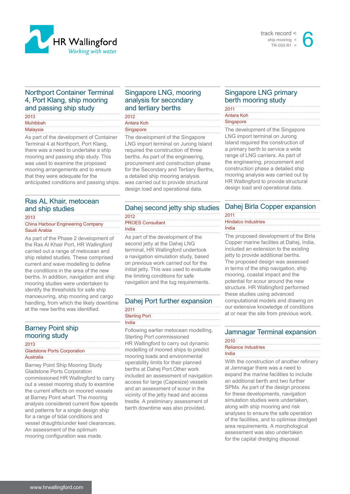



#### Northport Container Terminal 4, Port Klang, ship mooring and passing ship study

| 2013            |  |
|-----------------|--|
| <b>Muhibbah</b> |  |
| Malaysia        |  |

As part of the development of Container Terminal 4 at Northport, Port Klang, there was a need to undertake a ship mooring and passing ship study. This was used to examine the proposed mooring arrangements and to ensure that they were adequate for the anticipated conditions and passing ships.

#### Ras AL Khair, metocean and ship studies

2013

China Harbour Engineering Company Saudi Arabia

As part of the Phase 2 development of the Ras Al Khair Port, HR Wallingford carried out a range of metocean and ship related studies. These comprised current and wave modelling to define the conditions in the area of the new berths. In addition, navigation and ship mooring studies were undertaken to identify the thresholds for safe ship manoeuvring, ship mooring and cargo handling, from which the likely downtime at the new berths was identified.

## Barney Point ship mooring study

2013

Gladstone Ports Corporation Australia

Barney Point Ship Mooring Study Gladstone Ports Corporation commissioned HR Wallingford to carry out a vessel mooring study to examine the current effects on moored vessels at Barney Point wharf. The mooring analysis considered current flow speeds and patterns for a single design ship for a range of tidal conditions and vessel draughts/under keel clearances. An assessment of the optimum mooring configuration was made.

## Singapore LNG, mooring analysis for secondary and tertiary berths

| 2012       |  |  |
|------------|--|--|
| Antara Koh |  |  |
| Singapore  |  |  |
|            |  |  |

The development of the Singapore LNG import terminal on Jurong Island required the construction of three berths. As part of the engineering, procurement and construction phase for the Secondary and Tertiary Berths, a detailed ship mooring analysis was carried out to provide structural design load and operational data.

# Dahej second jetty ship studies 2012

#### PROES Consultant India

As part of the development of the second jetty at the Dahej LNG terminal, HR Wallingford undertook a navigation simulation study, based on previous work carried out for the initial jetty. This was used to evaluate the limiting conditions for safe navigation and the tug requirements.

# Dahej Port further expansion

#### 2011 Sterling Port India

Following earlier metocean modelling, Sterling Port commissioned HR Wallingford to carry out dynamic modelling of moored ships to predict mooring loads and environmental operability limits for their planned berths at Dahej Port.Other work included an assessment of navigation access for large (Capesize) vessels and an assessment of scour in the vicinity of the jetty head and access trestle. A preliminary assessment of berth downtime was also provided.

## Singapore LNG primary berth mooring study

#### 2011 Antara Koh **Singapore**

The development of the Singapore LNG import terminal on Jurong Island required the construction of a primary berth to service a wide range of LNG carriers. As part of the engineering, procurement and construction phase a detailed ship mooring analysis was carried out by HR Wallingford to provide structural design load and operational data.

# Dahej Birla Copper expansion

#### 2011 Hindalco Industries India

The proposed development of the Birla Copper marine facilites at Dahej, India, included an extension to the existing jetty to provide additional berths. The proposed design was assessed in terms of the ship navigation, ship mooring, coastal impact and the potential for scour around the new structure. HR Wallingford performed these studies using advanced computational models and drawing on our extensive knowledge of conditions at or near the site from previous work.

# Jamnagar Terminal expansion

#### 2010 Reliance Industries

#### India

With the construction of another refinery at Jamnagar there was a need to expand the marine facilities to include an additional berth and two further SPMs. As part of the design process for these developments, navigation simulation studies were undertaken, along with ship mooring and risk analyses to ensure the safe operation of the facilities, and to optimise dredged area requirements. A morphological assessment was also undertaken for the capital dredging disposal.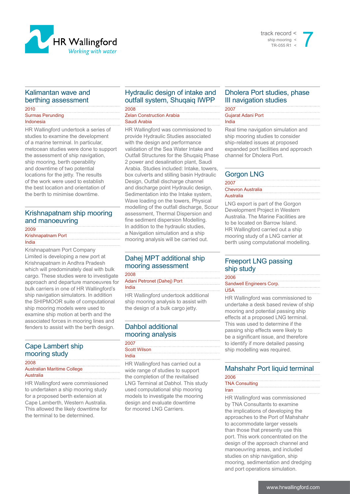

#### track record < ship mooring < TR-055 R1  $\frac{2}{3}$

## Kalimantan wave and berthing assessment

#### 2010 Surmas Perunding Indonesia

HR Wallingford undertook a series of studies to examine the development of a marine terminal. In particular, metocean studies were done to support the assessment of ship navigation, ship mooring, berth operability and downtime of two potential locations for the jetty. The results of the work were used to establish the best location and orientation of the berth to minimise downtime.

### Krishnapatnam ship mooring and manoeuvring

#### 2009

#### Krishnapatnam Port India

Krishnapatnam Port Company Limited is developing a new port at Krishnapatnam in Andhra Pradesh which will predominately deal with bulk cargo. These studies were to investigate approach and departure manoeuvres for bulk carriers in one of HR Wallingford's ship navigation simulators. In addition the SHIPMOOR suite of computational ship mooring models were used to examine ship motion at berth and the associated forces in mooring lines and fenders to assist with the berth design.

## Cape Lambert ship mooring study

#### 2008

Australian Maritime College Australia

HR Wallingford were commissioned to undertaken a ship mooring study for a proposed berth extension at Cape Lamberth, Western Australia. This allowed the likely downtime for the terminal to be determined.

# Hydraulic design of intake and outfall system, Shuqaiq IWPP

2008 Zelan Construction Arabia

#### Saudi Arabia

HR Wallingford was commissioned to provide Hydraulic Studies associated with the design and performance validation of the Sea Water Intake and Outfall Structures for the Shuqaiq Phase 2 power and desalination plant, Saudi Arabia. Studies included: Intake, towers, box culverts and stilling basin Hydraulic Design, Outfall discharge channel and discharge point Hydraulic design, Sedimentation into the Intake system, Wave loading on the towers, Physical modelling of the outfall discharge, Scour assessment, Thermal Dispersion and fine sediment dispersion Modelling. In addition to the hydraulic studies, a Navigation simulation and a ship mooring analysis will be carried out.

# Dahej MPT additional ship mooring assessment

2008

Adani Petronet (Dahej) Port

India

HR Wallingford undertook additional ship mooring analysis to assist with the design of a bulk cargo jetty.

# Dahbol additional mooring analysis

2007 Scott Wilson India

HR Wallingford has carried out a wide range of studies to support the completion of the revitalised LNG Terminal at Dabhol. This study used computational ship mooring models to investigate the mooring design and evaluate downtime for moored LNG Carriers.

## Dholera Port studies, phase III navigation studies

#### 2007 Gujarat Adani Port

India

Real time navigation simulation and ship mooring studies to consider ship-related issues at proposed expanded port facilities and approach channel for Dholera Port.

# Gorgon LNG

| 2007                     |  |
|--------------------------|--|
| <b>Chevron Australia</b> |  |
| Australia                |  |

LNG export is part of the Gorgon Development Project in Western Australia. The Marine Facilities are to be located on Barrow Island. HR Wallingford carried out a ship mooring study of a LNG carrier at berth using computational modelling.

## Freeport LNG passing ship study

2006 Sandwell Engineers Corp.

USA

HR Wallingford was commissioned to undertake a desk based review of ship mooring and potential passing ship effects at a proposed LNG terminal. This was used to determine if the passing ship effects were likely to be a significant issue, and therefore to identify if more detailed passing ship modelling was required.

# Mahshahr Port liquid terminal

#### 2006 TNA Consulting

Iran

HR Wallingford was commissioned by TNA Consultants to examine the implications of developing the approaches to the Port of Mahshahr to accommodate larger vessels than those that presently use this port. This work concentrated on the design of the approach channel and manoeuvring areas, and included studies on ship navigation, ship mooring, sedimentation and dredging and port operations simulation.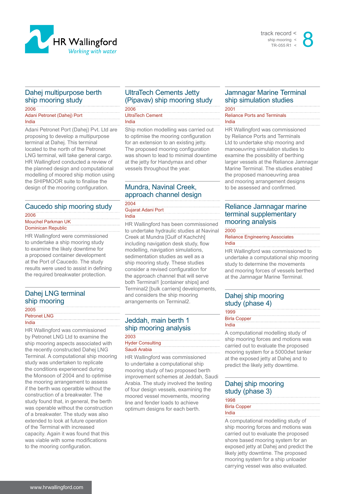



## Dahej multipurpose berth ship mooring study

2006 Adani Petronet (Dahej) Port India

Adani Petronet Port (Dahej) Pvt. Ltd are proposing to develop a multipurpose terminal at Dahej. This terminal located to the north of the Petronet LNG terminal, will take general cargo. HR Wallingford conducted a review of the planned design and computational modelling of moored ship motion using the SHIPMOOR suite to finalise the design of the mooring configuration.

# Caucedo ship mooring study

2006 Mouchel Parkman UK Dominican Republic

HR Wallingford were commissioned to undertake a ship mooring study to examine the likely downtime for a proposed container development at the Port of Caucedo. The study results were used to assist in defining the required breakwater protection.

## Dahej LNG terminal ship mooring

#### 2005 Petronet LNG

India

HR Wallingford was commissioned by Petronet LNG Ltd to examine the ship mooring aspects associated with the recently constructed Dahej LNG Terminal. A computational ship mooring study was undertaken to replicate the conditions experienced during the Monsoon of 2004 and to optimise the mooring arrangement to assess if the berth was operatble without the construction of a breakwater. The study found that, in general, the berth was operable without the construction of a breakwater. The study was also extended to look at future operation of the Terminal with increased capacity. Again it was found that this was viable with some modifications to the mooring configuration.

## UltraTech Cements Jetty (Pipavav) ship mooring study

2006 UltraTech Cement

India

Ship motion modelling was carried out to optimise the mooring configuration for an extension to an existing jetty. The proposed mooring configuration was shown to lead to minimal downtime at the jetty for Handymax and other vessels throughout the year.

#### Mundra, Navinal Creek, approach channel design 2004

#### Gujarat Adani Port India

HR Wallingford has been commissioned to undertake hydraulic studies at Navinal Creek at Mundra [Gulf of Kachchh] including navigation desk study, flow modelling, navigation simulations, sedimentation studies as well as a ship mooring study. These studies consider a revised configuration for the approach channel that will serve both Terminal1 [container ships] and Terminal2 [bulk carriers] developments, and considers the ship mooring arrangements on Terminal2.

#### Jeddah, main berth 1 ship mooring analysis 2003

| ∠∪∪                     |  |  |
|-------------------------|--|--|
| <b>Hyder Consulting</b> |  |  |
| Saudi Arabia            |  |  |
|                         |  |  |

HR Wallingford was commissioned to undertake a computational ship mooring study of two proposed berth improvement schemes at Jeddah, Saudi Arabia. The study involved the testing of four design vessels, examining the moored vessel movements, mooring line and fender loads to achieve optimum designs for each berth.

## Jamnagar Marine Terminal ship simulation studies

2001 Reliance Ports and Terminals India

HR Wallingford was commissioned by Reliance Ports and Terminals Ltd to undertake ship mooring and manoeuvring simulation studies to examine the possibility of berthing larger vessels at the Reliance Jamnagar Marine Terminal. The studies enabled the proposed manoeuvring area and mooring arrangement designs to be assessed and confirmed.

## Reliance Jamnagar marine terminal supplementary mooring analysis

2000 Reliance Engineering Associates India

HR Wallingford was commissioned to undertake a computational ship mooring study to determine the movements and mooring forces of vessels berthed at the Jamnagar Marine Terminal.

# Dahej ship mooring study (phase 4)

| 1999                |  |
|---------------------|--|
| <b>Birla Copper</b> |  |
| India               |  |

A computational modelling study of ship mooring forces and motions was carried out to evaluate the proposed mooring system for a 5000dwt tanker at the exposed jetty at Dahej and to predict the likely jetty downtime.

## Dahej ship mooring study (phase 3)

| 1998                |  |
|---------------------|--|
| <b>Birla Copper</b> |  |
| India               |  |

A computational modelling study of ship mooring forces and motions was carried out to evaluate the proposed shore based mooring system for an exposed jetty at Dahej and predict the likely jetty downtime. The proposed mooring system for a ship unloader carrying vessel was also evaluated.